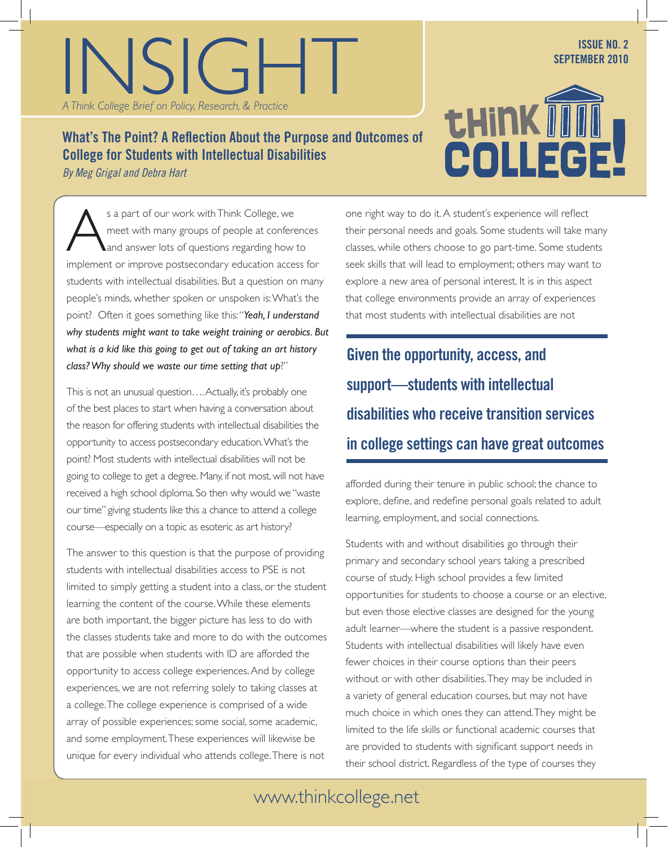# **What's The Point? A Reflection About the Purpose and Outcomes of College for Students with Intellectual Disabilities** *By Meg Grigal and Debra Hart*

s a part of our work with Think College, we<br>
meet with many groups of people at conference<br>
and answer lots of questions regarding how<br>
implement or improve postessedery education asset meet with many groups of people at conferences and answer lots of questions regarding how to implement or improve postsecondary education access for students with intellectual disabilities. But a question on many people's minds, whether spoken or unspoken is: What's the point? Often it goes something like this: "*Yeah, I understand why students might want to take weight training or aerobics. But what is a kid like this going to get out of taking an art history class? Why should we waste our time setting that up*?"

This is not an unusual question…. Actually, it's probably one of the best places to start when having a conversation about the reason for offering students with intellectual disabilities the opportunity to access postsecondary education. What's the point? Most students with intellectual disabilities will not be going to college to get a degree. Many, if not most, will not have received a high school diploma. So then why would we "waste our time" giving students like this a chance to attend a college course—especially on a topic as esoteric as art history?

The answer to this question is that the purpose of providing students with intellectual disabilities access to PSE is not limited to simply getting a student into a class, or the student learning the content of the course. While these elements are both important, the bigger picture has less to do with the classes students take and more to do with the outcomes that are possible when students with ID are afforded the opportunity to access college experiences. And by college experiences, we are not referring solely to taking classes at a college. The college experience is comprised of a wide array of possible experiences; some social, some academic, and some employment. These experiences will likewise be unique for every individual who attends college. There is not

one right way to do it. A student's experience will reflect their personal needs and goals. Some students will take many classes, while others choose to go part-time. Some students seek skills that will lead to employment; others may want to explore a new area of personal interest. It is in this aspect that college environments provide an array of experiences that most students with intellectual disabilities are not

**Given the opportunity, access, and support—students with intellectual disabilities who receive transition services in college settings can have great outcomes**

afforded during their tenure in public school; the chance to explore, define, and redefine personal goals related to adult learning, employment, and social connections.

Students with and without disabilities go through their primary and secondary school years taking a prescribed course of study. High school provides a few limited opportunities for students to choose a course or an elective, but even those elective classes are designed for the young adult learner—where the student is a passive respondent. Students with intellectual disabilities will likely have even fewer choices in their course options than their peers without or with other disabilities. They may be included in a variety of general education courses, but may not have much choice in which ones they can attend. They might be limited to the life skills or functional academic courses that are provided to students with significant support needs in their school district. Regardless of the type of courses they



## **ISSUE NO. 2 SEPTEMBER 2010**



# INSIGHT *A Think College Brief on Policy, Research, & Practice*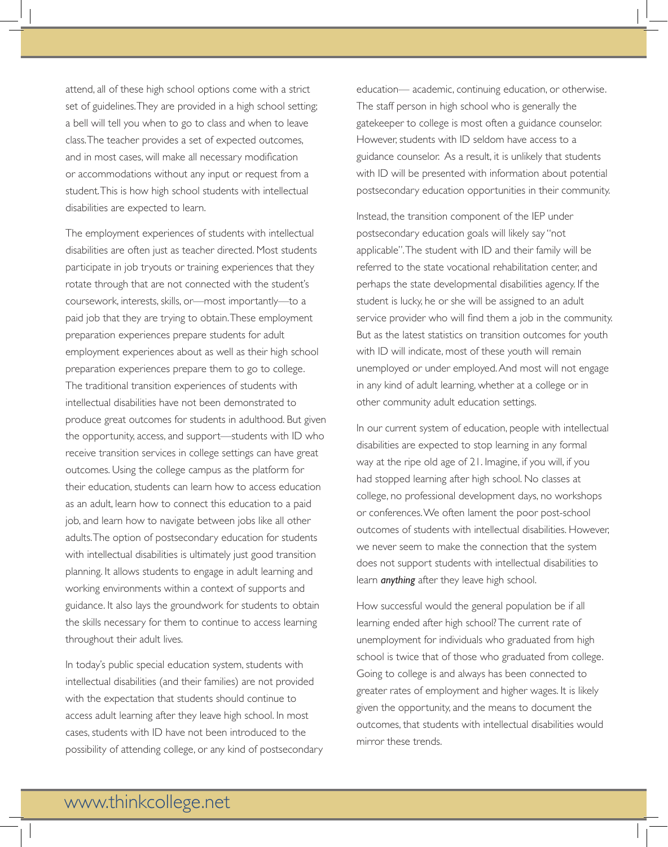attend, all of these high school options come with a strict set of guidelines. They are provided in a high school setting; a bell will tell you when to go to class and when to leave class. The teacher provides a set of expected outcomes, and in most cases, will make all necessary modification or accommodations without any input or request from a student. This is how high school students with intellectual disabilities are expected to learn.

The employment experiences of students with intellectual disabilities are often just as teacher directed. Most students participate in job tryouts or training experiences that they rotate through that are not connected with the student's coursework, interests, skills, or—most importantly—to a paid job that they are trying to obtain. These employment preparation experiences prepare students for adult employment experiences about as well as their high school preparation experiences prepare them to go to college. The traditional transition experiences of students with intellectual disabilities have not been demonstrated to produce great outcomes for students in adulthood. But given the opportunity, access, and support—students with ID who receive transition services in college settings can have great outcomes. Using the college campus as the platform for their education, students can learn how to access education as an adult, learn how to connect this education to a paid job, and learn how to navigate between jobs like all other adults. The option of postsecondary education for students with intellectual disabilities is ultimately just good transition planning. It allows students to engage in adult learning and working environments within a context of supports and guidance. It also lays the groundwork for students to obtain the skills necessary for them to continue to access learning throughout their adult lives.

In today's public special education system, students with intellectual disabilities (and their families) are not provided with the expectation that students should continue to access adult learning after they leave high school. In most cases, students with ID have not been introduced to the possibility of attending college, or any kind of postsecondary education— academic, continuing education, or otherwise. The staff person in high school who is generally the gatekeeper to college is most often a guidance counselor. However, students with ID seldom have access to a guidance counselor. As a result, it is unlikely that students with ID will be presented with information about potential postsecondary education opportunities in their community.

Instead, the transition component of the IEP under postsecondary education goals will likely say "not applicable". The student with ID and their family will be referred to the state vocational rehabilitation center, and perhaps the state developmental disabilities agency. If the student is lucky, he or she will be assigned to an adult service provider who will find them a job in the community. But as the latest statistics on transition outcomes for youth with ID will indicate, most of these youth will remain unemployed or under employed. And most will not engage in any kind of adult learning, whether at a college or in other community adult education settings.

In our current system of education, people with intellectual disabilities are expected to stop learning in any formal way at the ripe old age of 21. Imagine, if you will, if you had stopped learning after high school. No classes at college, no professional development days, no workshops or conferences. We often lament the poor post-school outcomes of students with intellectual disabilities. However, we never seem to make the connection that the system does not support students with intellectual disabilities to learn *anything* after they leave high school.

How successful would the general population be if all learning ended after high school? The current rate of unemployment for individuals who graduated from high school is twice that of those who graduated from college. Going to college is and always has been connected to greater rates of employment and higher wages. It is likely given the opportunity, and the means to document the outcomes, that students with intellectual disabilities would mirror these trends.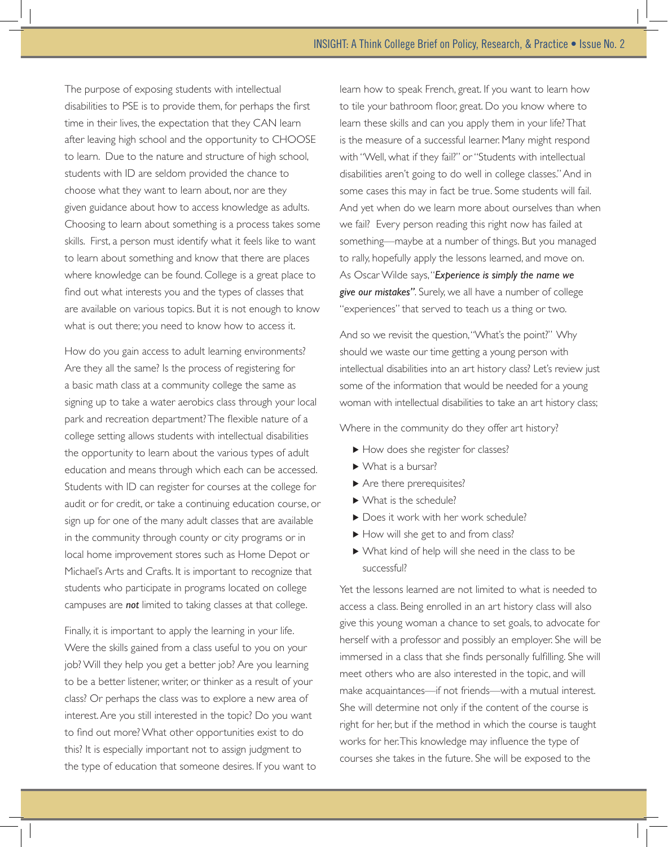The purpose of exposing students with intellectual disabilities to PSE is to provide them, for perhaps the first time in their lives, the expectation that they CAN learn after leaving high school and the opportunity to CHOOSE to learn. Due to the nature and structure of high school, students with ID are seldom provided the chance to choose what they want to learn about, nor are they given guidance about how to access knowledge as adults. Choosing to learn about something is a process takes some skills. First, a person must identify what it feels like to want to learn about something and know that there are places where knowledge can be found. College is a great place to find out what interests you and the types of classes that are available on various topics. But it is not enough to know what is out there; you need to know how to access it.

How do you gain access to adult learning environments? Are they all the same? Is the process of registering for a basic math class at a community college the same as signing up to take a water aerobics class through your local park and recreation department? The flexible nature of a college setting allows students with intellectual disabilities the opportunity to learn about the various types of adult education and means through which each can be accessed. Students with ID can register for courses at the college for audit or for credit, or take a continuing education course, or sign up for one of the many adult classes that are available in the community through county or city programs or in local home improvement stores such as Home Depot or Michael's Arts and Crafts. It is important to recognize that students who participate in programs located on college campuses are *not* limited to taking classes at that college.

Finally, it is important to apply the learning in your life. Were the skills gained from a class useful to you on your job? Will they help you get a better job? Are you learning to be a better listener, writer, or thinker as a result of your class? Or perhaps the class was to explore a new area of interest. Are you still interested in the topic? Do you want to find out more? What other opportunities exist to do this? It is especially important not to assign judgment to the type of education that someone desires. If you want to

learn how to speak French, great. If you want to learn how to tile your bathroom floor, great. Do you know where to learn these skills and can you apply them in your life? That is the measure of a successful learner. Many might respond with "Well, what if they fail?" or "Students with intellectual disabilities aren't going to do well in college classes." And in some cases this may in fact be true. Some students will fail. And yet when do we learn more about ourselves than when we fail? Every person reading this right now has failed at something—maybe at a number of things. But you managed to rally, hopefully apply the lessons learned, and move on. As Oscar Wilde says, "*Experience is simply the name we give our mistakes"*. Surely, we all have a number of college "experiences" that served to teach us a thing or two.

And so we revisit the question, "What's the point?" Why should we waste our time getting a young person with intellectual disabilities into an art history class? Let's review just some of the information that would be needed for a young woman with intellectual disabilities to take an art history class;

Where in the community do they offer art history?

- How does she register for classes?
- ▶ What is a bursar?
- Are there prerequisites?
- ▶ What is the schedule?
- ▶ Does it work with her work schedule?
- How will she get to and from class?
- What kind of help will she need in the class to be successful?

Yet the lessons learned are not limited to what is needed to access a class. Being enrolled in an art history class will also give this young woman a chance to set goals, to advocate for herself with a professor and possibly an employer. She will be immersed in a class that she finds personally fulfilling. She will meet others who are also interested in the topic, and will make acquaintances—if not friends—with a mutual interest. She will determine not only if the content of the course is right for her, but if the method in which the course is taught works for her. This knowledge may influence the type of courses she takes in the future. She will be exposed to the